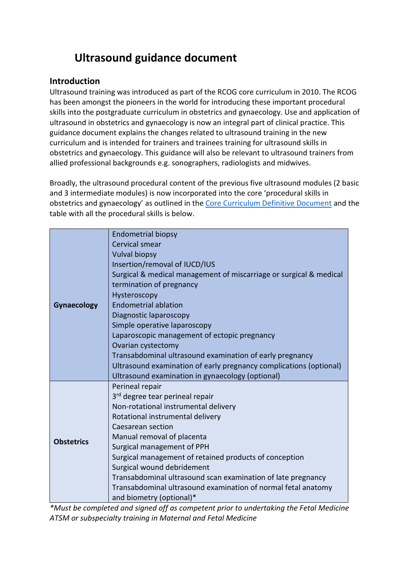# **Ultrasound guidance document**

### **Introduction**

Ultrasound training was introduced as part of the RCOG core curriculum in 2010. The RCOG has been amongst the pioneers in the world for introducing these important procedural skills into the postgraduate curriculum in obstetrics and gynaecology. Use and application of ultrasound in obstetrics and gynaecology is now an integral part of clinical practice. This guidance document explains the changes related to ultrasound training in the new curriculum and is intended for trainers and trainees training for ultrasound skills in obstetrics and gynaecology. This guidance will also be relevant to ultrasound trainers from allied professional backgrounds e.g. sonographers, radiologists and midwives.

Broadly, the ultrasound procedural content of the previous five ultrasound modules (2 basic and 3 intermediate modules) is now incorporated into the core 'procedural skills in obstetrics and gynaecology' as outlined in th[e Core Curriculum Definitive Document](https://www.rcog.org.uk/globalassets/documents/careers-and-training/curriculum/curriculum2019/core-curriculum-2019-final-gmc-approved.pdf) and the table with all the procedural skills is below.

| <b>Gynaecology</b> | <b>Endometrial biopsy</b>                                          |
|--------------------|--------------------------------------------------------------------|
|                    | Cervical smear                                                     |
|                    | <b>Vulval biopsy</b>                                               |
|                    | Insertion/removal of IUCD/IUS                                      |
|                    | Surgical & medical management of miscarriage or surgical & medical |
|                    | termination of pregnancy                                           |
|                    | Hysteroscopy                                                       |
|                    | <b>Endometrial ablation</b>                                        |
|                    | Diagnostic laparoscopy                                             |
|                    | Simple operative laparoscopy                                       |
|                    | Laparoscopic management of ectopic pregnancy                       |
|                    | Ovarian cystectomy                                                 |
|                    | Transabdominal ultrasound examination of early pregnancy           |
|                    | Ultrasound examination of early pregnancy complications (optional) |
|                    | Ultrasound examination in gynaecology (optional)                   |
|                    | Perineal repair                                                    |
|                    | 3 <sup>rd</sup> degree tear perineal repair                        |
|                    | Non-rotational instrumental delivery                               |
|                    | Rotational instrumental delivery                                   |
|                    | Caesarean section                                                  |
|                    | Manual removal of placenta                                         |
| <b>Obstetrics</b>  | Surgical management of PPH                                         |
|                    | Surgical management of retained products of conception             |
|                    | Surgical wound debridement                                         |
|                    | Transabdominal ultrasound scan examination of late pregnancy       |
|                    | Transabdominal ultrasound examination of normal fetal anatomy      |
|                    | and biometry (optional)*                                           |

*\*Must be completed and signed off as competent prior to undertaking the Fetal Medicine ATSM or subspecialty training in Maternal and Fetal Medicine*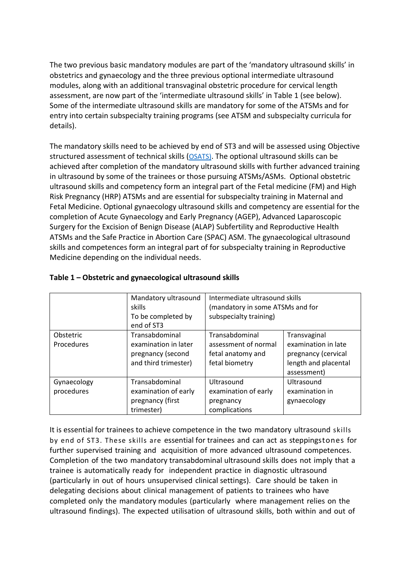The two previous basic mandatory modules are part of the 'mandatory ultrasound skills' in obstetrics and gynaecology and the three previous optional intermediate ultrasound modules, along with an additional transvaginal obstetric procedure for cervical length assessment, are now part of the 'intermediate ultrasound skills' in Table 1 (see below). Some of the intermediate ultrasound skills are mandatory for some of the ATSMs and for entry into certain subspecialty training programs (see ATSM and subspecialty curricula for details).

The mandatory skills need to be achieved by end of ST3 and will be assessed using Objective structured assessment of technical skills ([OSATS\)](https://elearning.rcog.org.uk/new-curriculum-2019-training-resource/assessment-process-new-curriculum). The optional ultrasound skills can be achieved after completion of the mandatory ultrasound skills with further advanced training in ultrasound by some of the trainees or those pursuing ATSMs/ASMs. Optional obstetric ultrasound skills and competency form an integral part of the Fetal medicine (FM) and High Risk Pregnancy (HRP) ATSMs and are essential for subspecialty training in Maternal and Fetal Medicine. Optional gynaecology ultrasound skills and competency are essential for the completion of Acute Gynaecology and Early Pregnancy (AGEP), Advanced Laparoscopic Surgery for the Excision of Benign Disease (ALAP) Subfertility and Reproductive Health ATSMs and the Safe Practice in Abortion Care (SPAC) ASM. The gynaecological ultrasound skills and competences form an integral part of for subspecialty training in Reproductive Medicine depending on the individual needs.

|                           | Mandatory ultrasound<br>skills<br>To be completed by<br>end of ST3                  | Intermediate ultrasound skills<br>(mandatory in some ATSMs and for<br>subspecialty training) |                                                                                                   |  |  |  |
|---------------------------|-------------------------------------------------------------------------------------|----------------------------------------------------------------------------------------------|---------------------------------------------------------------------------------------------------|--|--|--|
| Obstetric<br>Procedures   | Transabdominal<br>examination in later<br>pregnancy (second<br>and third trimester) | Transabdominal<br>assessment of normal<br>fetal anatomy and<br>fetal biometry                | Transvaginal<br>examination in late<br>pregnancy (cervical<br>length and placental<br>assessment) |  |  |  |
| Gynaecology<br>procedures | Transabdominal<br>examination of early<br>pregnancy (first<br>trimester)            | Ultrasound<br>examination of early<br>pregnancy<br>complications                             | Ultrasound<br>examination in<br>gynaecology                                                       |  |  |  |

#### **Table 1 – Obstetric and gynaecological ultrasound skills**

It is essential for trainees to achieve competence in the two mandatory ultrasound skills by end of ST3. These skills are essential for trainees and can act as steppingstones for further supervised training and acquisition of more advanced ultrasound competences. Completion of the two mandatory transabdominal ultrasound skills does not imply that a trainee is automatically ready for independent practice in diagnostic ultrasound (particularly in out of hours unsupervised clinical settings). Care should be taken in delegating decisions about clinical management of patients to trainees who have completed only the mandatory modules (particularly where management relies on the ultrasound findings). The expected utilisation of ultrasound skills, both within and out of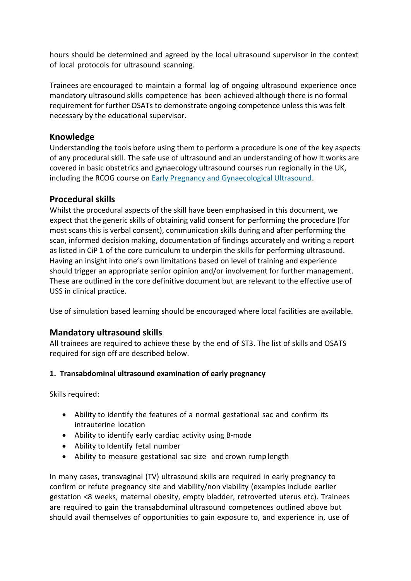hours should be determined and agreed by the local ultrasound supervisor in the context of local protocols for ultrasound scanning.

Trainees are encouraged to maintain a formal log of ongoing ultrasound experience once mandatory ultrasound skills competence has been achieved although there is no formal requirement for further OSATs to demonstrate ongoing competence unless this was felt necessary by the educational supervisor.

### **Knowledge**

Understanding the tools before using them to perform a procedure is one of the key aspects of any procedural skill. The safe use of ultrasound and an understanding of how it works are covered in basic obstetrics and gynaecology ultrasound courses run regionally in the UK, including the RCOG course on [Early Pregnancy and Gynaecological Ultrasound.](https://www.rcog.org.uk/en/departmental-catalog/Departments/atsm/2315---early-pregnancy-and-gynaecological-ultrasound/)

### **Procedural skills**

Whilst the procedural aspects of the skill have been emphasised in this document, we expect that the generic skills of obtaining valid consent for performing the procedure (for most scans this is verbal consent), communication skills during and after performing the scan, informed decision making, documentation of findings accurately and writing a report as listed in CiP 1 of the core curriculum to underpin the skills for performing ultrasound. Having an insight into one's own limitations based on level of training and experience should trigger an appropriate senior opinion and/or involvement for further management. These are outlined in the core definitive document but are relevant to the effective use of USS in clinical practice.

Use of simulation based learning should be encouraged where local facilities are available.

### **Mandatory ultrasound skills**

All trainees are required to achieve these by the end of ST3. The list of skills and OSATS required for sign off are described below.

#### **1. Transabdominal ultrasound examination of early pregnancy**

Skills required:

- Ability to identify the features of a normal gestational sac and confirm its intrauterine location
- Ability to identify early cardiac activity using B-mode
- Ability to Identify fetal number
- Ability to measure gestational sac size and crown rump length

In many cases, transvaginal (TV) ultrasound skills are required in early pregnancy to confirm or refute pregnancy site and viability/non viability (examples include earlier gestation <8 weeks, maternal obesity, empty bladder, retroverted uterus etc). Trainees are required to gain the transabdominal ultrasound competences outlined above but should avail themselves of opportunities to gain exposure to, and experience in, use of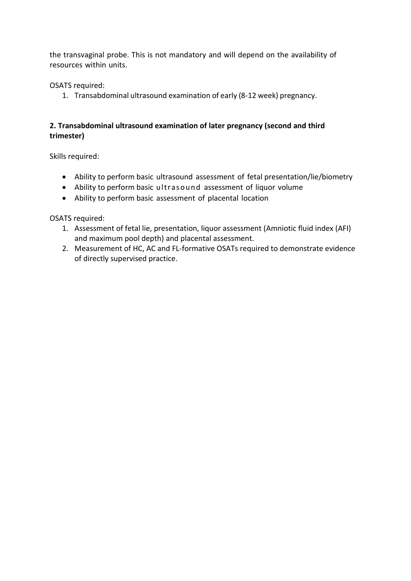the transvaginal probe. This is not mandatory and will depend on the availability of resources within units.

OSATS required:

1. Transabdominal ultrasound examination of early (8-12 week) pregnancy.

### **2. Transabdominal ultrasound examination of later pregnancy (second and third trimester)**

Skills required:

- Ability to perform basic ultrasound assessment of fetal presentation/lie/biometry
- Ability to perform basic ultrasound assessment of liquor volume
- Ability to perform basic assessment of placental location

OSATS required:

- 1. Assessment of fetal lie, presentation, liquor assessment (Amniotic fluid index (AFI) and maximum pool depth) and placental assessment.
- 2. Measurement of HC, AC and FL-formative OSATs required to demonstrate evidence of directly supervised practice.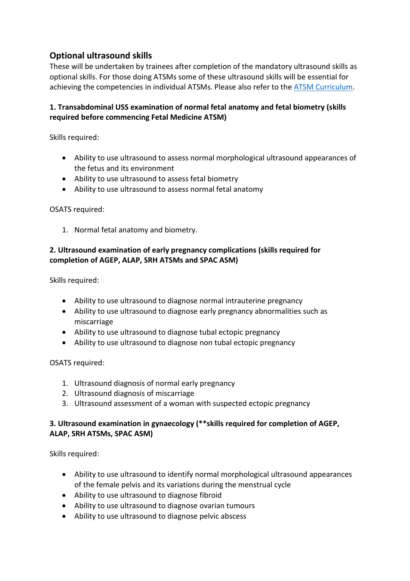### **Optional ultrasound skills**

These will be undertaken by trainees after completion of the mandatory ultrasound skills as optional skills. For those doing ATSMs some of these ultrasound skills will be essential for achieving the competencies in individual ATSMs. Please also refer to the [ATSM Curriculum.](https://www.rcog.org.uk/globalassets/documents/careers-and-training/curriculum/curriculum2019/advanced-training-definitive-document-2019.pdf)

### **1. Transabdominal USS examination of normal fetal anatomy and fetal biometry (skills required before commencing Fetal Medicine ATSM)**

Skills required:

- Ability to use ultrasound to assess normal morphological ultrasound appearances of the fetus and its environment
- Ability to use ultrasound to assess fetal biometry
- Ability to use ultrasound to assess normal fetal anatomy

OSATS required:

1. Normal fetal anatomy and biometry.

### **2. Ultrasound examination of early pregnancy complications (skills required for completion of AGEP, ALAP, SRH ATSMs and SPAC ASM)**

Skills required:

- Ability to use ultrasound to diagnose normal intrauterine pregnancy
- Ability to use ultrasound to diagnose early pregnancy abnormalities such as miscarriage
- Ability to use ultrasound to diagnose tubal ectopic pregnancy
- Ability to use ultrasound to diagnose non tubal ectopic pregnancy

OSATS required:

- 1. Ultrasound diagnosis of normal early pregnancy
- 2. Ultrasound diagnosis of miscarriage
- 3. Ultrasound assessment of a woman with suspected ectopic pregnancy

#### **3. Ultrasound examination in gynaecology (\*\*skills required for completion of AGEP, ALAP, SRH ATSMs, SPAC ASM)**

Skills required:

- Ability to use ultrasound to identify normal morphological ultrasound appearances of the female pelvis and its variations during the menstrual cycle
- Ability to use ultrasound to diagnose fibroid
- Ability to use ultrasound to diagnose ovarian tumours
- Ability to use ultrasound to diagnose pelvic abscess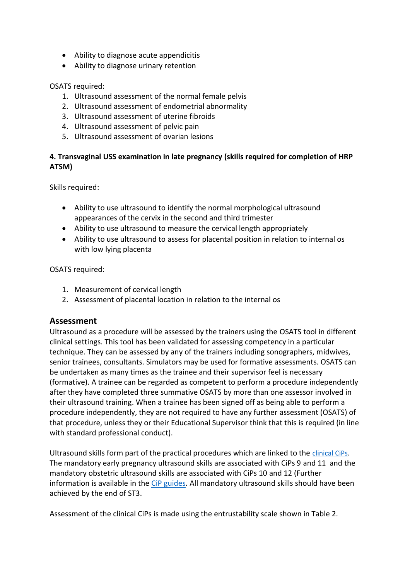- Ability to diagnose acute appendicitis
- Ability to diagnose urinary retention

#### OSATS required:

- 1. Ultrasound assessment of the normal female pelvis
- 2. Ultrasound assessment of endometrial abnormality
- 3. Ultrasound assessment of uterine fibroids
- 4. Ultrasound assessment of pelvic pain
- 5. Ultrasound assessment of ovarian lesions

### **4. Transvaginal USS examination in late pregnancy (skills required for completion of HRP ATSM)**

Skills required:

- Ability to use ultrasound to identify the normal morphological ultrasound appearances of the cervix in the second and third trimester
- Ability to use ultrasound to measure the cervical length appropriately
- Ability to use ultrasound to assess for placental position in relation to internal os with low lying placenta

OSATS required:

- 1. Measurement of cervical length
- 2. Assessment of placental location in relation to the internal os

### **Assessment**

Ultrasound as a procedure will be assessed by the trainers using the OSATS tool in different clinical settings. This tool has been validated for assessing competency in a particular technique. They can be assessed by any of the trainers including sonographers, midwives, senior trainees, consultants. Simulators may be used for formative assessments. OSATS can be undertaken as many times as the trainee and their supervisor feel is necessary (formative). A trainee can be regarded as competent to perform a procedure independently after they have completed three summative OSATS by more than one assessor involved in their ultrasound training. When a trainee has been signed off as being able to perform a procedure independently, they are not required to have any further assessment (OSATS) of that procedure, unless they or their Educational Supervisor think that this is required (in line with standard professional conduct).

Ultrasound skills form part of the practical procedures which are linked to the [clinical CiPs](https://www.rcog.org.uk/globalassets/documents/careers-and-training/curriculum/curriculum2019/core-curriculum-2019-final-gmc-approved.pdf). The mandatory early pregnancy ultrasound skills are associated with CiPs 9 and 11 and the mandatory obstetric ultrasound skills are associated with CiPs 10 and 12 (Further information is available in the [CiP guides.](https://elearning.rcog.org.uk/new-curriculum-2019-training-resource/curriculum-structure/core-curriculum) All mandatory ultrasound skills should have been achieved by the end of ST3.

Assessment of the clinical CiPs is made using the entrustability scale shown in Table 2.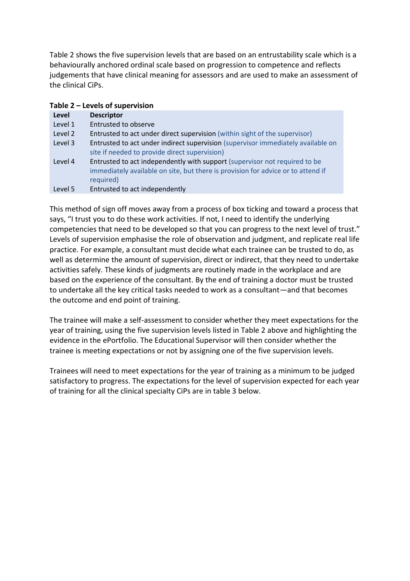Table 2 shows the five supervision levels that are based on an entrustability scale which is a behaviourally anchored ordinal scale based on progression to competence and reflects judgements that have clinical meaning for assessors and are used to make an assessment of the clinical CiPs.

| Table 2 - Levels of supervision |                                                                                  |  |  |  |  |
|---------------------------------|----------------------------------------------------------------------------------|--|--|--|--|
| Level                           | <b>Descriptor</b>                                                                |  |  |  |  |
| Level 1                         | <b>Entrusted to observe</b>                                                      |  |  |  |  |
| Level 2                         | Entrusted to act under direct supervision (within sight of the supervisor)       |  |  |  |  |
| Level 3                         | Entrusted to act under indirect supervision (supervisor immediately available on |  |  |  |  |
|                                 | site if needed to provide direct supervision)                                    |  |  |  |  |
| Level 4                         | Entrusted to act independently with support (supervisor not required to be       |  |  |  |  |
|                                 | immediately available on site, but there is provision for advice or to attend if |  |  |  |  |
|                                 | required)                                                                        |  |  |  |  |
| Level 5                         | Entrusted to act independently                                                   |  |  |  |  |

This method of sign off moves away from a process of box ticking and toward a process that says, "I trust you to do these work activities. If not, I need to identify the underlying competencies that need to be developed so that you can progress to the next level of trust." Levels of supervision emphasise the role of observation and judgment, and replicate real life practice. For example, a consultant must decide what each trainee can be trusted to do, as well as determine the amount of supervision, direct or indirect, that they need to undertake activities safely. These kinds of judgments are routinely made in the workplace and are based on the experience of the consultant. By the end of training a doctor must be trusted to undertake all the key critical tasks needed to work as a consultant—and that becomes the outcome and end point of training.

The trainee will make a self-assessment to consider whether they meet expectations for the year of training, using the five supervision levels listed in Table 2 above and highlighting the evidence in the ePortfolio. The Educational Supervisor will then consider whether the trainee is meeting expectations or not by assigning one of the five supervision levels.

Trainees will need to meet expectations for the year of training as a minimum to be judged satisfactory to progress. The expectations for the level of supervision expected for each year of training for all the clinical specialty CiPs are in table 3 below.